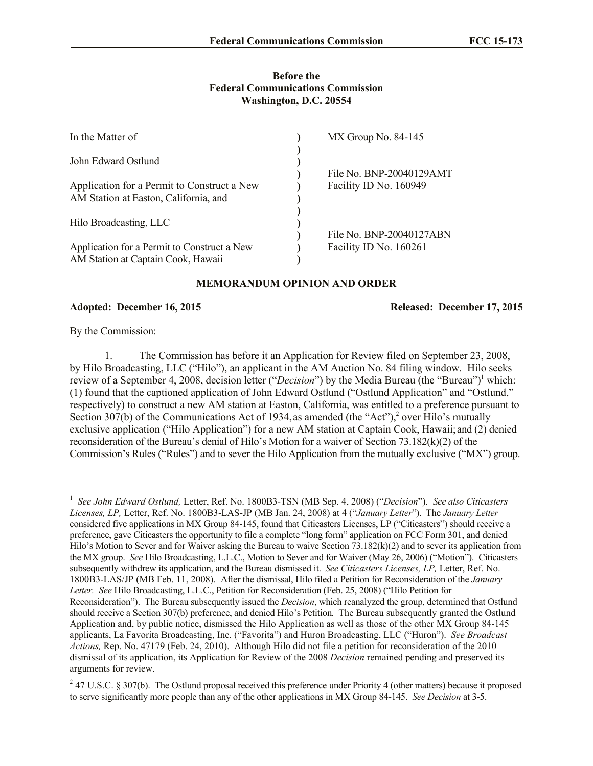## **Before the Federal Communications Commission Washington, D.C. 20554**

| In the Matter of                                                                                            | MX Group No. 84-145                                |
|-------------------------------------------------------------------------------------------------------------|----------------------------------------------------|
| John Edward Ostlund<br>Application for a Permit to Construct a New<br>AM Station at Easton, California, and | File No. BNP-20040129AMT<br>Facility ID No. 160949 |
| Hilo Broadcasting, LLC                                                                                      |                                                    |
| Application for a Permit to Construct a New<br>AM Station at Captain Cook, Hawaii                           | File No. BNP-20040127ABN<br>Facility ID No. 160261 |

## **MEMORANDUM OPINION AND ORDER**

## **Adopted: December 16, 2015 Released: December 17, 2015**

By the Commission:

 $\overline{\phantom{a}}$ 

1. The Commission has before it an Application for Review filed on September 23, 2008, by Hilo Broadcasting, LLC ("Hilo"), an applicant in the AM Auction No. 84 filing window. Hilo seeks review of a September 4, 2008, decision letter ("*Decision*") by the Media Bureau (the "Bureau")<sup>1</sup> which: (1) found that the captioned application of John Edward Ostlund ("Ostlund Application" and "Ostlund," respectively) to construct a new AM station at Easton, California, was entitled to a preference pursuant to Section 307(b) of the Communications Act of 1934, as amended (the "Act"),<sup>2</sup> over Hilo's mutually exclusive application ("Hilo Application") for a new AM station at Captain Cook, Hawaii; and (2) denied reconsideration of the Bureau's denial of Hilo's Motion for a waiver of Section 73.182(k)(2) of the Commission's Rules ("Rules") and to sever the Hilo Application from the mutually exclusive ("MX") group.

<sup>1</sup> *See John Edward Ostlund,* Letter, Ref. No. 1800B3-TSN (MB Sep. 4, 2008) ("*Decision*"). *See also Citicasters Licenses, LP,* Letter, Ref. No. 1800B3-LAS-JP (MB Jan. 24, 2008) at 4 ("*January Letter*"). The *January Letter*  considered five applications in MX Group 84-145, found that Citicasters Licenses, LP ("Citicasters") should receive a preference, gave Citicasters the opportunity to file a complete "long form" application on FCC Form 301, and denied Hilo's Motion to Sever and for Waiver asking the Bureau to waive Section 73.182(k)(2) and to sever its application from the MX group. *See* Hilo Broadcasting, L.L.C., Motion to Sever and for Waiver (May 26, 2006) ("Motion"). Citicasters subsequently withdrew its application, and the Bureau dismissed it. *See Citicasters Licenses, LP,* Letter, Ref. No. 1800B3-LAS/JP (MB Feb. 11, 2008). After the dismissal, Hilo filed a Petition for Reconsideration of the *January Letter. See* Hilo Broadcasting, L.L.C., Petition for Reconsideration (Feb. 25, 2008) ("Hilo Petition for Reconsideration"). The Bureau subsequently issued the *Decision*, which reanalyzed the group, determined that Ostlund should receive a Section 307(b) preference, and denied Hilo's Petition*.* The Bureau subsequently granted the Ostlund Application and, by public notice, dismissed the Hilo Application as well as those of the other MX Group 84-145 applicants, La Favorita Broadcasting, Inc. ("Favorita") and Huron Broadcasting, LLC ("Huron"). *See Broadcast Actions,* Rep. No. 47179 (Feb. 24, 2010). Although Hilo did not file a petition for reconsideration of the 2010 dismissal of its application, its Application for Review of the 2008 *Decision* remained pending and preserved its arguments for review.

 $247$  U.S.C. § 307(b). The Ostlund proposal received this preference under Priority 4 (other matters) because it proposed to serve significantly more people than any of the other applications in MX Group 84-145. *See Decision* at 3-5.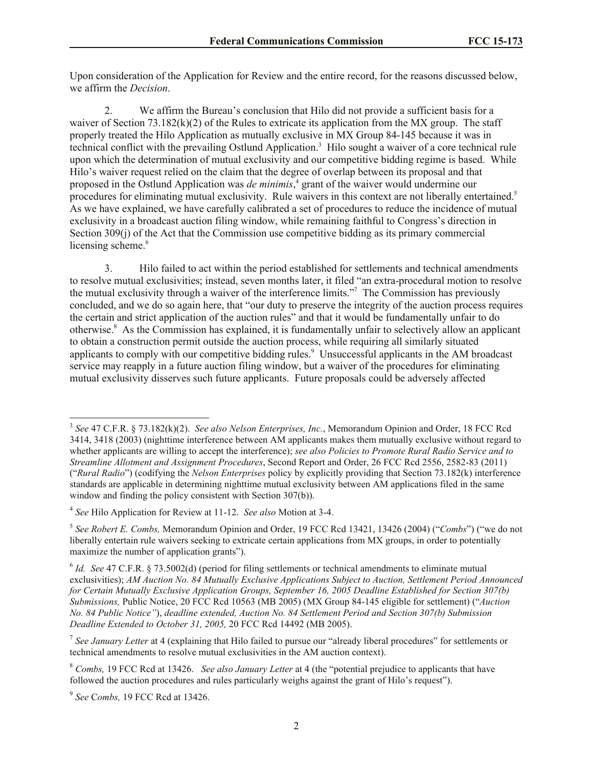Upon consideration of the Application for Review and the entire record, for the reasons discussed below, we affirm the *Decision*.

2. We affirm the Bureau's conclusion that Hilo did not provide a sufficient basis for a waiver of Section 73.182(k)(2) of the Rules to extricate its application from the MX group. The staff properly treated the Hilo Application as mutually exclusive in MX Group 84-145 because it was in technical conflict with the prevailing Ostlund Application.<sup>3</sup> Hilo sought a waiver of a core technical rule upon which the determination of mutual exclusivity and our competitive bidding regime is based. While Hilo's waiver request relied on the claim that the degree of overlap between its proposal and that proposed in the Ostlund Application was *de minimis*, 4 grant of the waiver would undermine our procedures for eliminating mutual exclusivity. Rule waivers in this context are not liberally entertained.<sup>5</sup> As we have explained, we have carefully calibrated a set of procedures to reduce the incidence of mutual exclusivity in a broadcast auction filing window, while remaining faithful to Congress's direction in Section 309(j) of the Act that the Commission use competitive bidding as its primary commercial licensing scheme.<sup>6</sup>

3. Hilo failed to act within the period established for settlements and technical amendments to resolve mutual exclusivities; instead, seven months later, it filed "an extra-procedural motion to resolve the mutual exclusivity through a waiver of the interference limits."<sup>7</sup> The Commission has previously concluded, and we do so again here, that "our duty to preserve the integrity of the auction process requires the certain and strict application of the auction rules" and that it would be fundamentally unfair to do otherwise.<sup>8</sup> As the Commission has explained, it is fundamentally unfair to selectively allow an applicant to obtain a construction permit outside the auction process, while requiring all similarly situated applicants to comply with our competitive bidding rules.<sup>9</sup> Unsuccessful applicants in the AM broadcast service may reapply in a future auction filing window, but a waiver of the procedures for eliminating mutual exclusivity disserves such future applicants. Future proposals could be adversely affected

 $\overline{\phantom{a}}$ 

<sup>3</sup> *See* 47 C.F.R. § 73.182(k)(2). *See also Nelson Enterprises, Inc.*, Memorandum Opinion and Order, 18 FCC Rcd 3414, 3418 (2003) (nighttime interference between AM applicants makes them mutually exclusive without regard to whether applicants are willing to accept the interference); *see also Policies to Promote Rural Radio Service and to Streamline Allotment and Assignment Procedures*, Second Report and Order, 26 FCC Rcd 2556, 2582-83 (2011) ("*Rural Radio*") (codifying the *Nelson Enterprises* policy by explicitly providing that Section 73.182(k) interference standards are applicable in determining nighttime mutual exclusivity between AM applications filed in the same window and finding the policy consistent with Section 307(b)).

<sup>4</sup> *See* Hilo Application for Review at 11-12. *See also* Motion at 3-4.

<sup>5</sup> *See Robert E. Combs,* Memorandum Opinion and Order, 19 FCC Rcd 13421, 13426 (2004) ("*Combs*") ("we do not liberally entertain rule waivers seeking to extricate certain applications from MX groups, in order to potentially maximize the number of application grants").

<sup>&</sup>lt;sup>6</sup> *Id. See* 47 C.F.R. § 73.5002(d) (period for filing settlements or technical amendments to eliminate mutual exclusivities); *AM Auction No. 84 Mutually Exclusive Applications Subject to Auction, Settlement Period Announced for Certain Mutually Exclusive Application Groups, September 16, 2005 Deadline Established for Section 307(b) Submissions,* Public Notice, 20 FCC Rcd 10563 (MB 2005) (MX Group 84-145 eligible for settlement) ("*Auction No. 84 Public Notice"*), *deadline extended, Auction No. 84 Settlement Period and Section 307(b) Submission Deadline Extended to October 31, 2005,* 20 FCC Rcd 14492 (MB 2005).

<sup>&</sup>lt;sup>7</sup> See January Letter at 4 (explaining that Hilo failed to pursue our "already liberal procedures" for settlements or technical amendments to resolve mutual exclusivities in the AM auction context).

<sup>8</sup> *Combs,* 19 FCC Rcd at 13426. *See also January Letter* at 4 (the "potential prejudice to applicants that have followed the auction procedures and rules particularly weighs against the grant of Hilo's request").

<sup>9</sup> *See* C*ombs,* 19 FCC Rcd at 13426.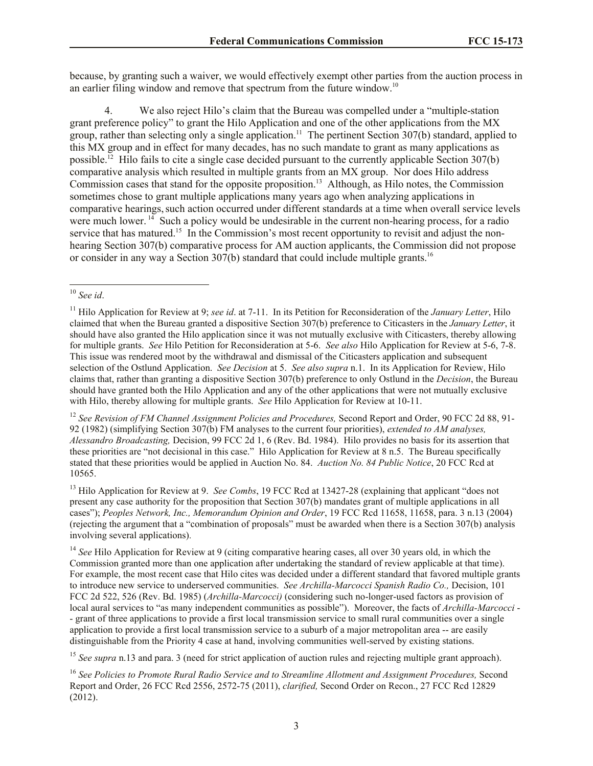because, by granting such a waiver, we would effectively exempt other parties from the auction process in an earlier filing window and remove that spectrum from the future window.<sup>10</sup>

4. We also reject Hilo's claim that the Bureau was compelled under a "multiple-station grant preference policy" to grant the Hilo Application and one of the other applications from the MX group, rather than selecting only a single application.<sup>11</sup> The pertinent Section 307(b) standard, applied to this MX group and in effect for many decades, has no such mandate to grant as many applications as possible.<sup>12</sup> Hilo fails to cite a single case decided pursuant to the currently applicable Section 307(b) comparative analysis which resulted in multiple grants from an MX group. Nor does Hilo address Commission cases that stand for the opposite proposition.<sup>13</sup> Although, as Hilo notes, the Commission sometimes chose to grant multiple applications many years ago when analyzing applications in comparative hearings, such action occurred under different standards at a time when overall service levels were much lower.<sup>14</sup> Such a policy would be undesirable in the current non-hearing process, for a radio service that has matured.<sup>15</sup> In the Commission's most recent opportunity to revisit and adjust the nonhearing Section 307(b) comparative process for AM auction applicants, the Commission did not propose or consider in any way a Section 307(b) standard that could include multiple grants.<sup>16</sup>

<sup>12</sup> *See Revision of FM Channel Assignment Policies and Procedures,* Second Report and Order, 90 FCC 2d 88, 91- 92 (1982) (simplifying Section 307(b) FM analyses to the current four priorities), *extended to AM analyses, Alessandro Broadcasting,* Decision, 99 FCC 2d 1, 6 (Rev. Bd. 1984). Hilo provides no basis for its assertion that these priorities are "not decisional in this case." Hilo Application for Review at 8 n.5. The Bureau specifically stated that these priorities would be applied in Auction No. 84. *Auction No. 84 Public Notice*, 20 FCC Rcd at 10565.

<sup>13</sup> Hilo Application for Review at 9. *See Combs*, 19 FCC Rcd at 13427-28 (explaining that applicant "does not present any case authority for the proposition that Section 307(b) mandates grant of multiple applications in all cases"); *Peoples Network, Inc., Memorandum Opinion and Order*, 19 FCC Rcd 11658, 11658, para. 3 n.13 (2004) (rejecting the argument that a "combination of proposals" must be awarded when there is a Section 307(b) analysis involving several applications).

<sup>14</sup> See Hilo Application for Review at 9 (citing comparative hearing cases, all over 30 years old, in which the Commission granted more than one application after undertaking the standard of review applicable at that time). For example, the most recent case that Hilo cites was decided under a different standard that favored multiple grants to introduce new service to underserved communities. *See Archilla-Marcocci Spanish Radio Co.,* Decision, 101 FCC 2d 522, 526 (Rev. Bd. 1985) (*Archilla-Marcocci)* (considering such no-longer-used factors as provision of local aural services to "as many independent communities as possible"). Moreover, the facts of *Archilla-Marcocci* - - grant of three applications to provide a first local transmission service to small rural communities over a single application to provide a first local transmission service to a suburb of a major metropolitan area -- are easily distinguishable from the Priority 4 case at hand, involving communities well-served by existing stations.

<sup>15</sup> *See supra* n.13 and para. 3 (need for strict application of auction rules and rejecting multiple grant approach).

 $\overline{\phantom{a}}$ <sup>10</sup> *See id*.

<sup>11</sup> Hilo Application for Review at 9; *see id*. at 7-11. In its Petition for Reconsideration of the *January Letter*, Hilo claimed that when the Bureau granted a dispositive Section 307(b) preference to Citicasters in the *January Letter*, it should have also granted the Hilo application since it was not mutually exclusive with Citicasters, thereby allowing for multiple grants. *See* Hilo Petition for Reconsideration at 5-6. *See also* Hilo Application for Review at 5-6, 7-8. This issue was rendered moot by the withdrawal and dismissal of the Citicasters application and subsequent selection of the Ostlund Application. *See Decision* at 5. *See also supra* n.1. In its Application for Review, Hilo claims that, rather than granting a dispositive Section 307(b) preference to only Ostlund in the *Decision*, the Bureau should have granted both the Hilo Application and any of the other applications that were not mutually exclusive with Hilo, thereby allowing for multiple grants. *See* Hilo Application for Review at 10-11.

<sup>16</sup> *See Policies to Promote Rural Radio Service and to Streamline Allotment and Assignment Procedures,* Second Report and Order, 26 FCC Rcd 2556, 2572-75 (2011), *clarified,* Second Order on Recon., 27 FCC Rcd 12829 (2012).